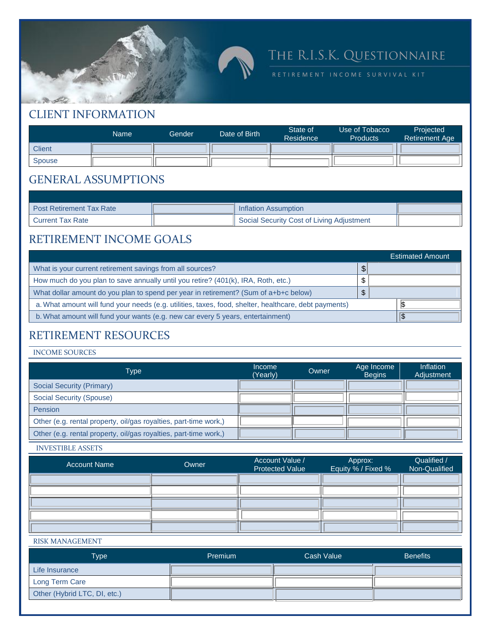

# THE R.I.S.K. QUESTIONNAIRE

R E T I R E M E N T I N C O M E S U R V I V A L K I T

### CLIENT INFORMATION

|               | Name | Gender | Date of Birth | State of<br>Residence | Use of Tobacco<br><b>Products</b> | <b>Projected</b><br><b>Retirement Age</b> |
|---------------|------|--------|---------------|-----------------------|-----------------------------------|-------------------------------------------|
| <b>Client</b> |      |        |               |                       |                                   |                                           |
| <b>Spouse</b> |      |        |               |                       |                                   |                                           |

### GENERAL ASSUMPTIONS

| <b>Post Retirement Tax Rate</b> | Inflation Assumption                      |  |
|---------------------------------|-------------------------------------------|--|
| <b>Current Tax Rate</b>         | Social Security Cost of Living Adjustment |  |

### RETIREMENT INCOME GOALS

|                                                                                                       |  | <b>Estimated Amount</b> |  |
|-------------------------------------------------------------------------------------------------------|--|-------------------------|--|
| What is your current retirement savings from all sources?                                             |  |                         |  |
| How much do you plan to save annually until you retire? (401(k), IRA, Roth, etc.)                     |  |                         |  |
| What dollar amount do you plan to spend per year in retirement? (Sum of a+b+c below)                  |  |                         |  |
| a. What amount will fund your needs (e.g. utilities, taxes, food, shelter, healthcare, debt payments) |  |                         |  |
| b. What amount will fund your wants (e.g. new car every 5 years, entertainment)                       |  |                         |  |

### RETIREMENT RESOURCES

#### INCOME SOURCES

| Type                                                             | <i>Income</i><br>(Yearly) | Owner | Age Income<br><b>Begins</b> | Inflation<br>Adjustment |
|------------------------------------------------------------------|---------------------------|-------|-----------------------------|-------------------------|
| <b>Social Security (Primary)</b>                                 |                           |       |                             |                         |
| Social Security (Spouse)                                         |                           |       |                             |                         |
| <b>Pension</b>                                                   |                           |       |                             |                         |
| Other (e.g. rental property, oil/gas royalties, part-time work,) |                           |       |                             |                         |
| Other (e.g. rental property, oil/gas royalties, part-time work,) |                           |       |                             |                         |

INVESTIBLE ASSETS

| <b>Account Name</b> | Owner | Account Value /<br>Protected Value | Approx:<br>Equity % / Fixed % | Qualified /<br>Non-Qualified |
|---------------------|-------|------------------------------------|-------------------------------|------------------------------|
|                     |       |                                    |                               |                              |
|                     |       |                                    |                               |                              |
|                     |       |                                    |                               |                              |
|                     |       |                                    |                               |                              |
|                     |       |                                    |                               |                              |

#### RISK MANAGEMENT

| <b>Type</b>                  | <b>Premium</b> | Cash Value | <b>Benefits</b> |  |
|------------------------------|----------------|------------|-----------------|--|
| Life Insurance               |                |            |                 |  |
| Long Term Care               |                |            |                 |  |
| Other (Hybrid LTC, DI, etc.) |                |            |                 |  |